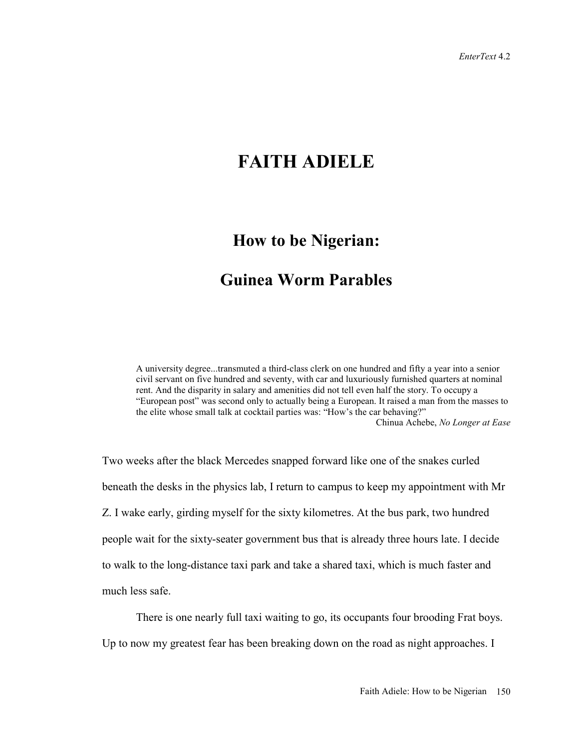## **FAITH ADIELE**

## **How to be Nigerian:**

## **Guinea Worm Parables**

A university degree...transmuted a third-class clerk on one hundred and fifty a year into a senior civil servant on five hundred and seventy, with car and luxuriously furnished quarters at nominal rent. And the disparity in salary and amenities did not tell even half the story. To occupy a "European post" was second only to actually being a European. It raised a man from the masses to the elite whose small talk at cocktail parties was: "How's the car behaving?" Chinua Achebe, *No Longer at Ease*

Two weeks after the black Mercedes snapped forward like one of the snakes curled beneath the desks in the physics lab, I return to campus to keep my appointment with Mr Z. I wake early, girding myself for the sixty kilometres. At the bus park, two hundred people wait for the sixty-seater government bus that is already three hours late. I decide to walk to the long-distance taxi park and take a shared taxi, which is much faster and much less safe.

There is one nearly full taxi waiting to go, its occupants four brooding Frat boys. Up to now my greatest fear has been breaking down on the road as night approaches. I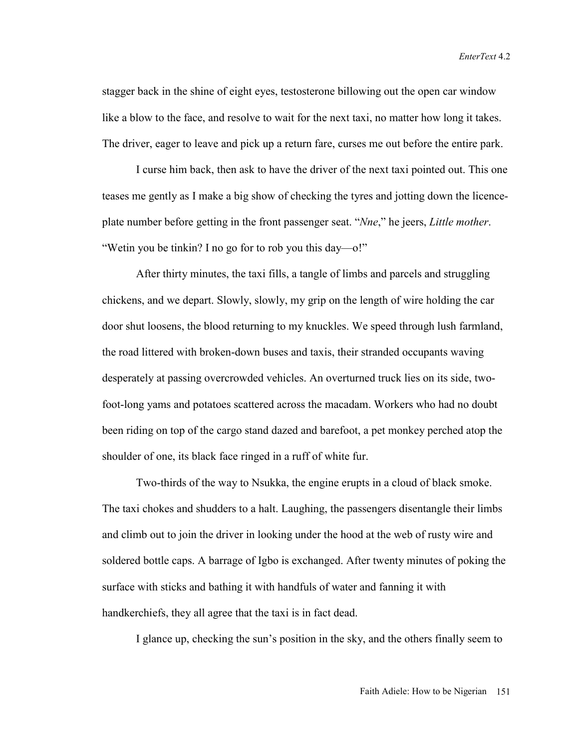stagger back in the shine of eight eyes, testosterone billowing out the open car window like a blow to the face, and resolve to wait for the next taxi, no matter how long it takes. The driver, eager to leave and pick up a return fare, curses me out before the entire park.

I curse him back, then ask to have the driver of the next taxi pointed out. This one teases me gently as I make a big show of checking the tyres and jotting down the licenceplate number before getting in the front passenger seat. "*Nne*," he jeers, *Little mother*. "Wetin you be tinkin? I no go for to rob you this day—o!"

After thirty minutes, the taxi fills, a tangle of limbs and parcels and struggling chickens, and we depart. Slowly, slowly, my grip on the length of wire holding the car door shut loosens, the blood returning to my knuckles. We speed through lush farmland, the road littered with broken-down buses and taxis, their stranded occupants waving desperately at passing overcrowded vehicles. An overturned truck lies on its side, twofoot-long yams and potatoes scattered across the macadam. Workers who had no doubt been riding on top of the cargo stand dazed and barefoot, a pet monkey perched atop the shoulder of one, its black face ringed in a ruff of white fur.

Two-thirds of the way to Nsukka, the engine erupts in a cloud of black smoke. The taxi chokes and shudders to a halt. Laughing, the passengers disentangle their limbs and climb out to join the driver in looking under the hood at the web of rusty wire and soldered bottle caps. A barrage of Igbo is exchanged. After twenty minutes of poking the surface with sticks and bathing it with handfuls of water and fanning it with handkerchiefs, they all agree that the taxi is in fact dead.

I glance up, checking the sun's position in the sky, and the others finally seem to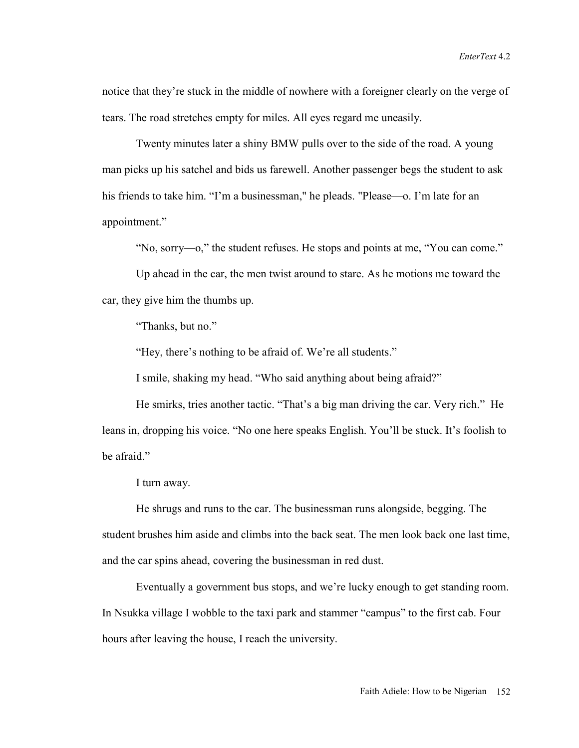notice that they're stuck in the middle of nowhere with a foreigner clearly on the verge of tears. The road stretches empty for miles. All eyes regard me uneasily.

Twenty minutes later a shiny BMW pulls over to the side of the road. A young man picks up his satchel and bids us farewell. Another passenger begs the student to ask his friends to take him. "I'm a businessman," he pleads. "Please—o. I'm late for an appointment."

"No, sorry—o," the student refuses. He stops and points at me, "You can come."

Up ahead in the car, the men twist around to stare. As he motions me toward the car, they give him the thumbs up.

"Thanks, but no."

"Hey, there's nothing to be afraid of. We're all students."

I smile, shaking my head. "Who said anything about being afraid?"

He smirks, tries another tactic. "That's a big man driving the car. Very rich." He leans in, dropping his voice. "No one here speaks English. You'll be stuck. It's foolish to be afraid."

I turn away.

He shrugs and runs to the car. The businessman runs alongside, begging. The student brushes him aside and climbs into the back seat. The men look back one last time, and the car spins ahead, covering the businessman in red dust.

Eventually a government bus stops, and we're lucky enough to get standing room. In Nsukka village I wobble to the taxi park and stammer "campus" to the first cab. Four hours after leaving the house, I reach the university.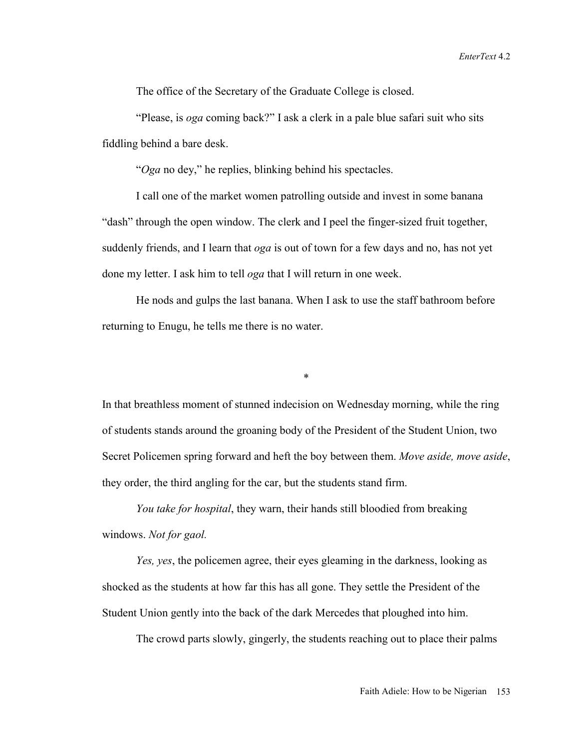The office of the Secretary of the Graduate College is closed.

"Please, is *oga* coming back?" I ask a clerk in a pale blue safari suit who sits fiddling behind a bare desk.

"*Oga* no dey," he replies, blinking behind his spectacles.

I call one of the market women patrolling outside and invest in some banana "dash" through the open window. The clerk and I peel the finger-sized fruit together, suddenly friends, and I learn that *oga* is out of town for a few days and no, has not yet done my letter. I ask him to tell *oga* that I will return in one week.

He nods and gulps the last banana. When I ask to use the staff bathroom before returning to Enugu, he tells me there is no water.

\*

In that breathless moment of stunned indecision on Wednesday morning, while the ring of students stands around the groaning body of the President of the Student Union, two Secret Policemen spring forward and heft the boy between them. *Move aside, move aside*, they order, the third angling for the car, but the students stand firm.

*You take for hospital*, they warn, their hands still bloodied from breaking windows. *Not for gaol.* 

*Yes, yes*, the policemen agree, their eyes gleaming in the darkness, looking as shocked as the students at how far this has all gone. They settle the President of the Student Union gently into the back of the dark Mercedes that ploughed into him.

The crowd parts slowly, gingerly, the students reaching out to place their palms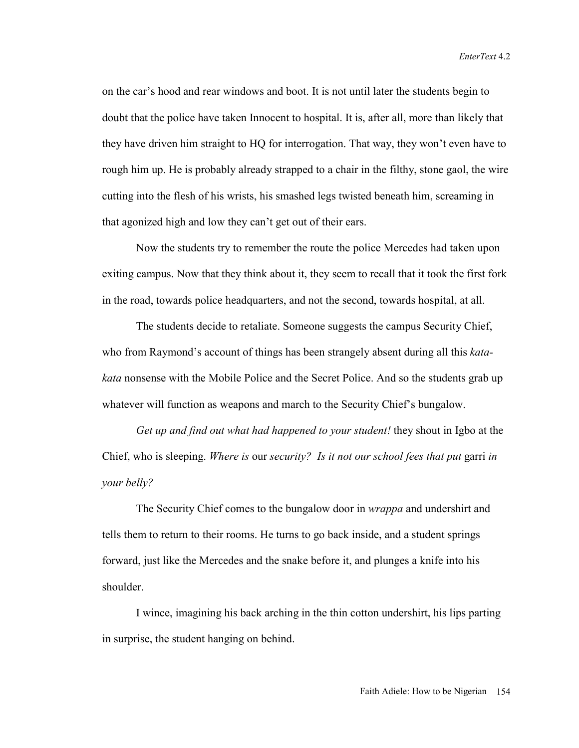on the car's hood and rear windows and boot. It is not until later the students begin to doubt that the police have taken Innocent to hospital. It is, after all, more than likely that they have driven him straight to HQ for interrogation. That way, they won't even have to rough him up. He is probably already strapped to a chair in the filthy, stone gaol, the wire cutting into the flesh of his wrists, his smashed legs twisted beneath him, screaming in that agonized high and low they can't get out of their ears.

Now the students try to remember the route the police Mercedes had taken upon exiting campus. Now that they think about it, they seem to recall that it took the first fork in the road, towards police headquarters, and not the second, towards hospital, at all.

The students decide to retaliate. Someone suggests the campus Security Chief, who from Raymond's account of things has been strangely absent during all this *katakata* nonsense with the Mobile Police and the Secret Police. And so the students grab up whatever will function as weapons and march to the Security Chief's bungalow.

*Get up and find out what had happened to your student!* they shout in Igbo at the Chief, who is sleeping. *Where is* our *security? Is it not our school fees that put* garri *in your belly?* 

The Security Chief comes to the bungalow door in *wrappa* and undershirt and tells them to return to their rooms. He turns to go back inside, and a student springs forward, just like the Mercedes and the snake before it, and plunges a knife into his shoulder.

I wince, imagining his back arching in the thin cotton undershirt, his lips parting in surprise, the student hanging on behind.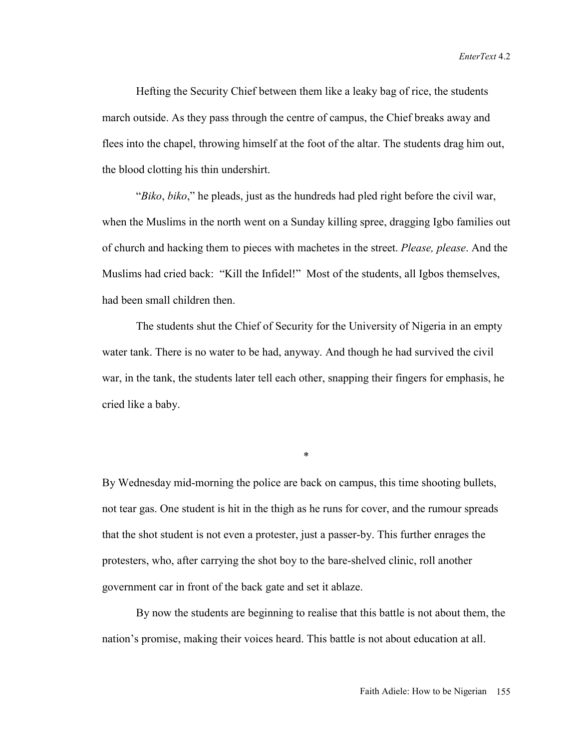Hefting the Security Chief between them like a leaky bag of rice, the students march outside. As they pass through the centre of campus, the Chief breaks away and flees into the chapel, throwing himself at the foot of the altar. The students drag him out, the blood clotting his thin undershirt.

"*Biko*, *biko*," he pleads, just as the hundreds had pled right before the civil war, when the Muslims in the north went on a Sunday killing spree, dragging Igbo families out of church and hacking them to pieces with machetes in the street. *Please, please*. And the Muslims had cried back: "Kill the Infidel!" Most of the students, all Igbos themselves, had been small children then.

The students shut the Chief of Security for the University of Nigeria in an empty water tank. There is no water to be had, anyway. And though he had survived the civil war, in the tank, the students later tell each other, snapping their fingers for emphasis, he cried like a baby.

\*

By Wednesday mid-morning the police are back on campus, this time shooting bullets, not tear gas. One student is hit in the thigh as he runs for cover, and the rumour spreads that the shot student is not even a protester, just a passer-by. This further enrages the protesters, who, after carrying the shot boy to the bare-shelved clinic, roll another government car in front of the back gate and set it ablaze.

By now the students are beginning to realise that this battle is not about them, the nation's promise, making their voices heard. This battle is not about education at all.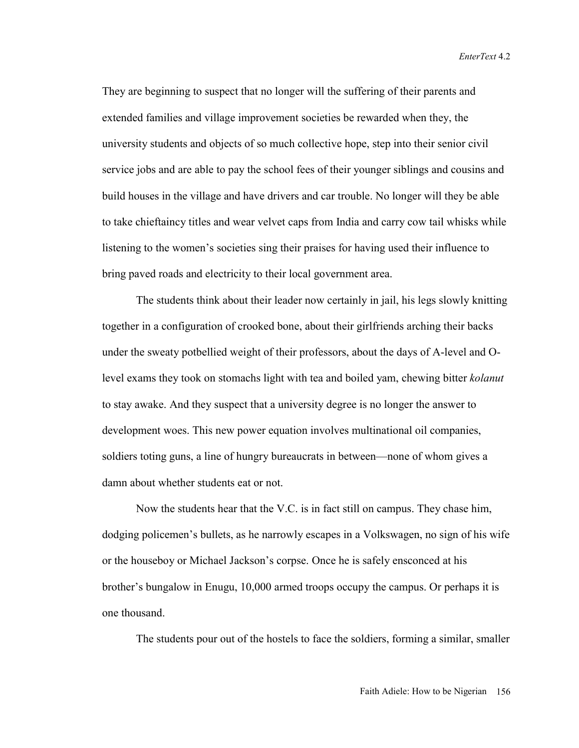They are beginning to suspect that no longer will the suffering of their parents and extended families and village improvement societies be rewarded when they, the university students and objects of so much collective hope, step into their senior civil service jobs and are able to pay the school fees of their younger siblings and cousins and build houses in the village and have drivers and car trouble. No longer will they be able to take chieftaincy titles and wear velvet caps from India and carry cow tail whisks while listening to the women's societies sing their praises for having used their influence to bring paved roads and electricity to their local government area.

The students think about their leader now certainly in jail, his legs slowly knitting together in a configuration of crooked bone, about their girlfriends arching their backs under the sweaty potbellied weight of their professors, about the days of A-level and Olevel exams they took on stomachs light with tea and boiled yam, chewing bitter *kolanut* to stay awake. And they suspect that a university degree is no longer the answer to development woes. This new power equation involves multinational oil companies, soldiers toting guns, a line of hungry bureaucrats in between—none of whom gives a damn about whether students eat or not.

Now the students hear that the V.C. is in fact still on campus. They chase him, dodging policemen's bullets, as he narrowly escapes in a Volkswagen, no sign of his wife or the houseboy or Michael Jackson's corpse. Once he is safely ensconced at his brother's bungalow in Enugu, 10,000 armed troops occupy the campus. Or perhaps it is one thousand.

The students pour out of the hostels to face the soldiers, forming a similar, smaller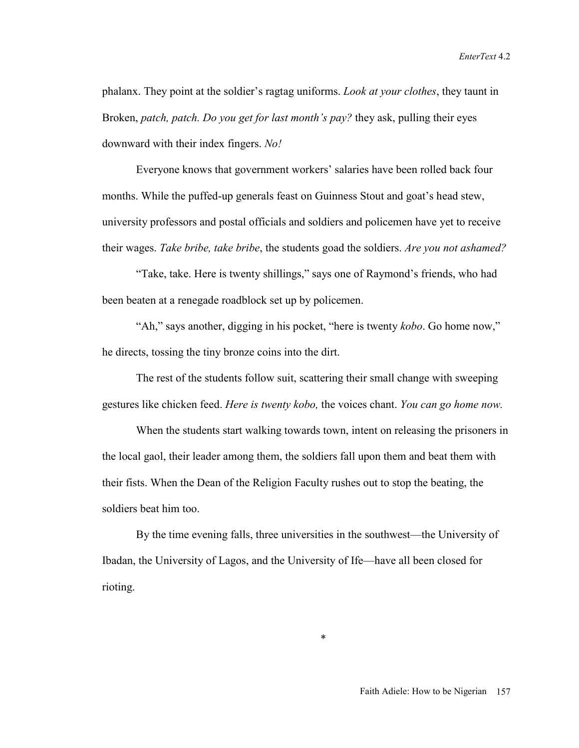phalanx. They point at the soldier's ragtag uniforms. *Look at your clothes*, they taunt in Broken, *patch, patch. Do you get for last month's pay?* they ask, pulling their eyes downward with their index fingers. *No!*

Everyone knows that government workers' salaries have been rolled back four months. While the puffed-up generals feast on Guinness Stout and goat's head stew, university professors and postal officials and soldiers and policemen have yet to receive their wages. *Take bribe, take bribe*, the students goad the soldiers. *Are you not ashamed?*

"Take, take. Here is twenty shillings," says one of Raymond's friends, who had been beaten at a renegade roadblock set up by policemen.

"Ah," says another, digging in his pocket, "here is twenty *kobo*. Go home now," he directs, tossing the tiny bronze coins into the dirt.

The rest of the students follow suit, scattering their small change with sweeping gestures like chicken feed. *Here is twenty kobo,* the voices chant. *You can go home now.* 

When the students start walking towards town, intent on releasing the prisoners in the local gaol, their leader among them, the soldiers fall upon them and beat them with their fists. When the Dean of the Religion Faculty rushes out to stop the beating, the soldiers beat him too.

By the time evening falls, three universities in the southwest—the University of Ibadan, the University of Lagos, and the University of Ife—have all been closed for rioting.

\*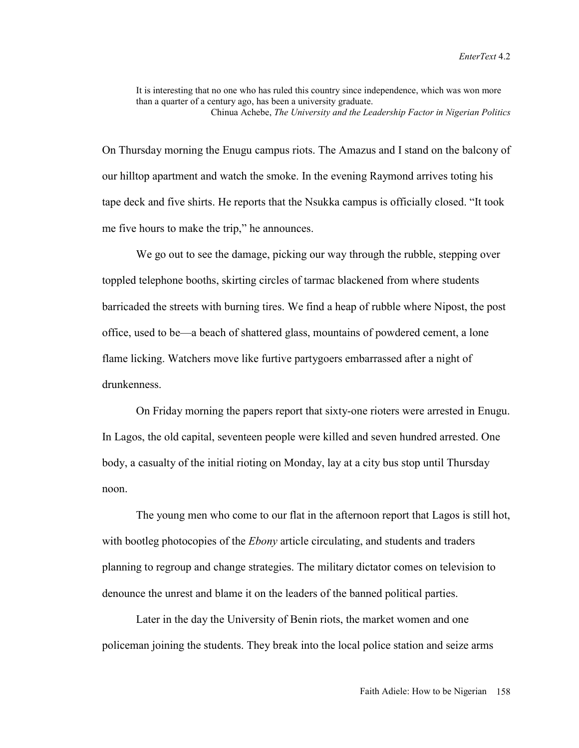It is interesting that no one who has ruled this country since independence, which was won more than a quarter of a century ago, has been a university graduate. Chinua Achebe, *The University and the Leadership Factor in Nigerian Politics*

On Thursday morning the Enugu campus riots. The Amazus and I stand on the balcony of our hilltop apartment and watch the smoke. In the evening Raymond arrives toting his tape deck and five shirts. He reports that the Nsukka campus is officially closed. "It took me five hours to make the trip," he announces.

We go out to see the damage, picking our way through the rubble, stepping over toppled telephone booths, skirting circles of tarmac blackened from where students barricaded the streets with burning tires. We find a heap of rubble where Nipost, the post office, used to be—a beach of shattered glass, mountains of powdered cement, a lone flame licking. Watchers move like furtive partygoers embarrassed after a night of drunkenness.

On Friday morning the papers report that sixty-one rioters were arrested in Enugu. In Lagos, the old capital, seventeen people were killed and seven hundred arrested. One body, a casualty of the initial rioting on Monday, lay at a city bus stop until Thursday noon.

The young men who come to our flat in the afternoon report that Lagos is still hot, with bootleg photocopies of the *Ebony* article circulating, and students and traders planning to regroup and change strategies. The military dictator comes on television to denounce the unrest and blame it on the leaders of the banned political parties.

Later in the day the University of Benin riots, the market women and one policeman joining the students. They break into the local police station and seize arms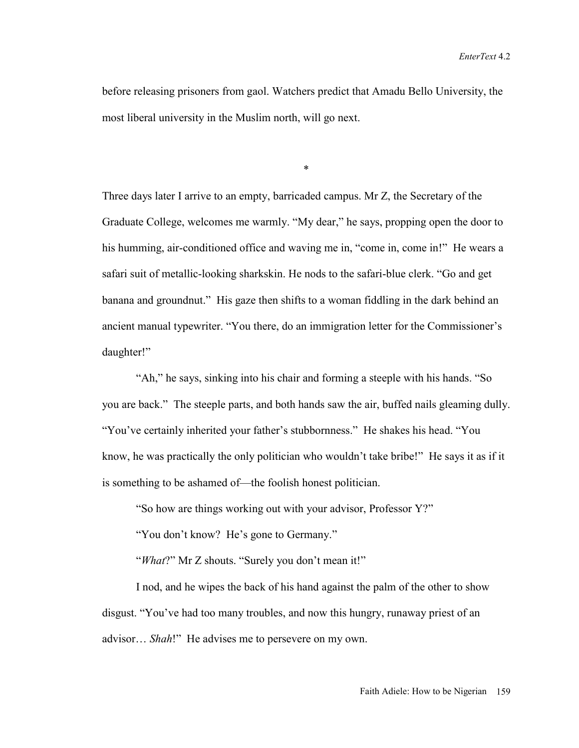before releasing prisoners from gaol. Watchers predict that Amadu Bello University, the most liberal university in the Muslim north, will go next.

\*

Three days later I arrive to an empty, barricaded campus. Mr Z, the Secretary of the Graduate College, welcomes me warmly. "My dear," he says, propping open the door to his humming, air-conditioned office and waving me in, "come in, come in!" He wears a safari suit of metallic-looking sharkskin. He nods to the safari-blue clerk. "Go and get banana and groundnut." His gaze then shifts to a woman fiddling in the dark behind an ancient manual typewriter. "You there, do an immigration letter for the Commissioner's daughter!"

"Ah," he says, sinking into his chair and forming a steeple with his hands. "So you are back." The steeple parts, and both hands saw the air, buffed nails gleaming dully. "You've certainly inherited your father's stubbornness." He shakes his head. "You know, he was practically the only politician who wouldn't take bribe!" He says it as if it is something to be ashamed of—the foolish honest politician.

"So how are things working out with your advisor, Professor Y?"

"You don't know? He's gone to Germany."

"*What*?" Mr Z shouts. "Surely you don't mean it!"

I nod, and he wipes the back of his hand against the palm of the other to show disgust. "You've had too many troubles, and now this hungry, runaway priest of an advisor… *Shah*!" He advises me to persevere on my own.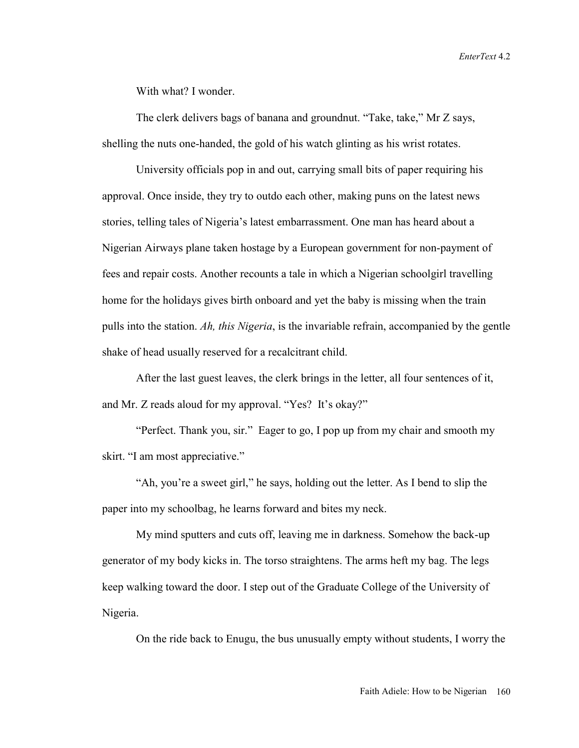With what? I wonder.

The clerk delivers bags of banana and groundnut. "Take, take," Mr Z says, shelling the nuts one-handed, the gold of his watch glinting as his wrist rotates.

University officials pop in and out, carrying small bits of paper requiring his approval. Once inside, they try to outdo each other, making puns on the latest news stories, telling tales of Nigeria's latest embarrassment. One man has heard about a Nigerian Airways plane taken hostage by a European government for non-payment of fees and repair costs. Another recounts a tale in which a Nigerian schoolgirl travelling home for the holidays gives birth onboard and yet the baby is missing when the train pulls into the station. *Ah, this Nigeria*, is the invariable refrain, accompanied by the gentle shake of head usually reserved for a recalcitrant child.

After the last guest leaves, the clerk brings in the letter, all four sentences of it, and Mr. Z reads aloud for my approval. "Yes? It's okay?"

"Perfect. Thank you, sir." Eager to go, I pop up from my chair and smooth my skirt. "I am most appreciative."

"Ah, you're a sweet girl," he says, holding out the letter. As I bend to slip the paper into my schoolbag, he learns forward and bites my neck.

My mind sputters and cuts off, leaving me in darkness. Somehow the back-up generator of my body kicks in. The torso straightens. The arms heft my bag. The legs keep walking toward the door. I step out of the Graduate College of the University of Nigeria.

On the ride back to Enugu, the bus unusually empty without students, I worry the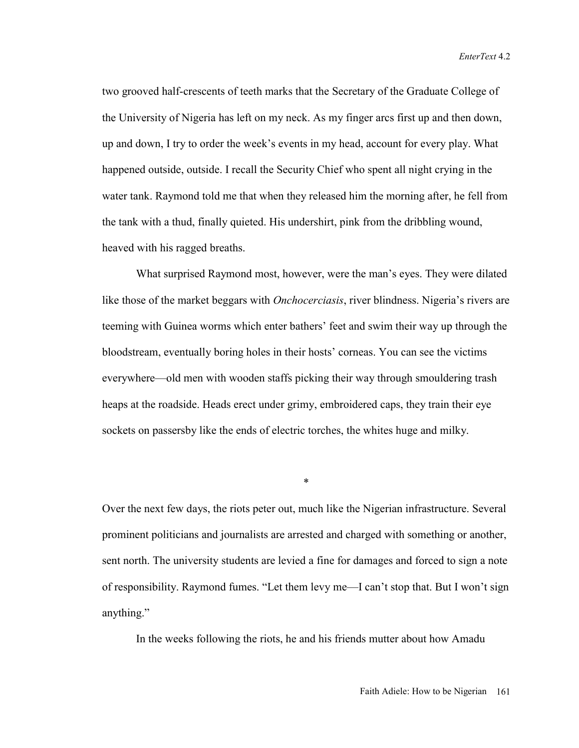*EnterText* 4.2

two grooved half-crescents of teeth marks that the Secretary of the Graduate College of the University of Nigeria has left on my neck. As my finger arcs first up and then down, up and down, I try to order the week's events in my head, account for every play. What happened outside, outside. I recall the Security Chief who spent all night crying in the water tank. Raymond told me that when they released him the morning after, he fell from the tank with a thud, finally quieted. His undershirt, pink from the dribbling wound, heaved with his ragged breaths.

What surprised Raymond most, however, were the man's eyes. They were dilated like those of the market beggars with *Onchocerciasis*, river blindness. Nigeria's rivers are teeming with Guinea worms which enter bathers' feet and swim their way up through the bloodstream, eventually boring holes in their hosts' corneas. You can see the victims everywhere—old men with wooden staffs picking their way through smouldering trash heaps at the roadside. Heads erect under grimy, embroidered caps, they train their eye sockets on passersby like the ends of electric torches, the whites huge and milky.

Over the next few days, the riots peter out, much like the Nigerian infrastructure. Several prominent politicians and journalists are arrested and charged with something or another, sent north. The university students are levied a fine for damages and forced to sign a note of responsibility. Raymond fumes. "Let them levy me—I can't stop that. But I won't sign anything."

\*

In the weeks following the riots, he and his friends mutter about how Amadu